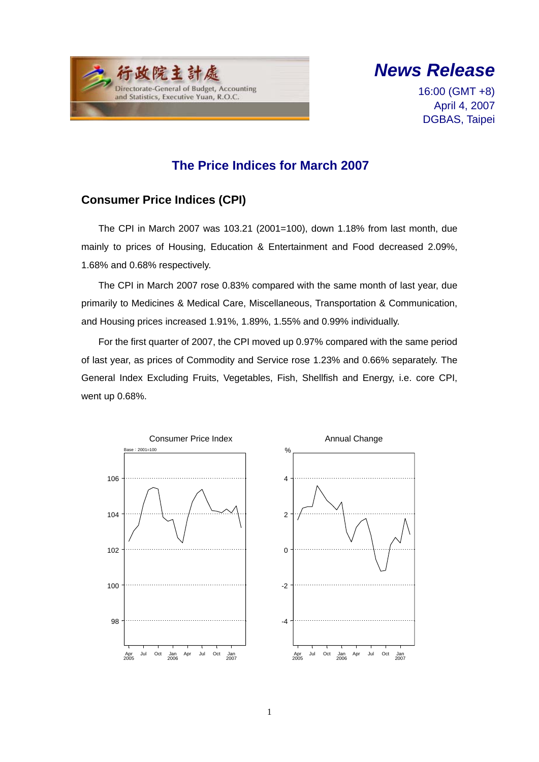



16:00 (GMT +8) April 4, 2007 DGBAS, Taipei

#### **The Price Indices for March 2007**

#### **Consumer Price Indices (CPI)**

The CPI in March 2007 was 103.21 (2001=100), down 1.18% from last month, due mainly to prices of Housing, Education & Entertainment and Food decreased 2.09%, 1.68% and 0.68% respectively.

The CPI in March 2007 rose 0.83% compared with the same month of last year, due primarily to Medicines & Medical Care, Miscellaneous, Transportation & Communication, and Housing prices increased 1.91%, 1.89%, 1.55% and 0.99% individually.

For the first quarter of 2007, the CPI moved up 0.97% compared with the same period of last year, as prices of Commodity and Service rose 1.23% and 0.66% separately. The General Index Excluding Fruits, Vegetables, Fish, Shellfish and Energy, i.e. core CPI, went up 0.68%.

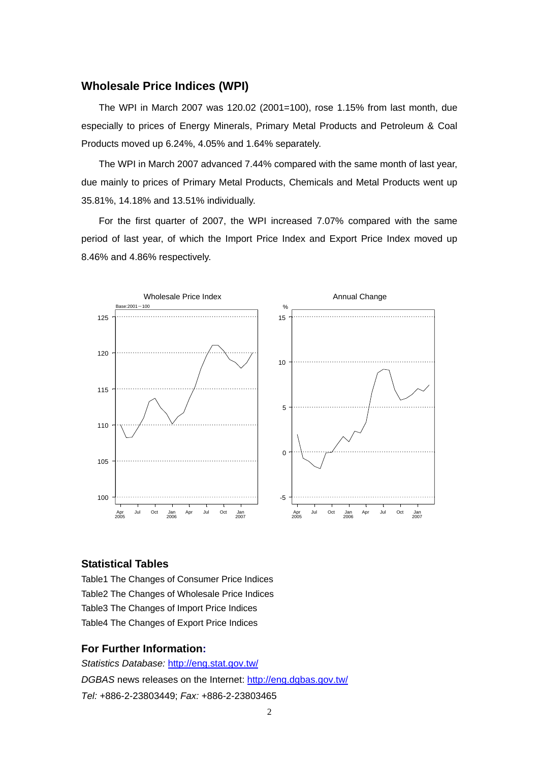#### **Wholesale Price Indices (WPI)**

The WPI in March 2007 was 120.02 (2001=100), rose 1.15% from last month, due especially to prices of Energy Minerals, Primary Metal Products and Petroleum & Coal Products moved up 6.24%, 4.05% and 1.64% separately.

The WPI in March 2007 advanced 7.44% compared with the same month of last year, due mainly to prices of Primary Metal Products, Chemicals and Metal Products went up 35.81%, 14.18% and 13.51% individually.

For the first quarter of 2007, the WPI increased 7.07% compared with the same period of last year, of which the Import Price Index and Export Price Index moved up 8.46% and 4.86% respectively.



#### **Statistical Tables**

Table1 The Changes of Consumer Price Indices Table2 The Changes of Wholesale Price Indices Table3 The Changes of Import Price Indices Table4 The Changes of Export Price Indices

#### **For Further Information:**

*Statistics Database:* http://eng.stat.gov.tw/ *DGBAS* news releases on the Internet: http://eng.dgbas.gov.tw/ *Tel:* +886-2-23803449; *Fax:* +886-2-23803465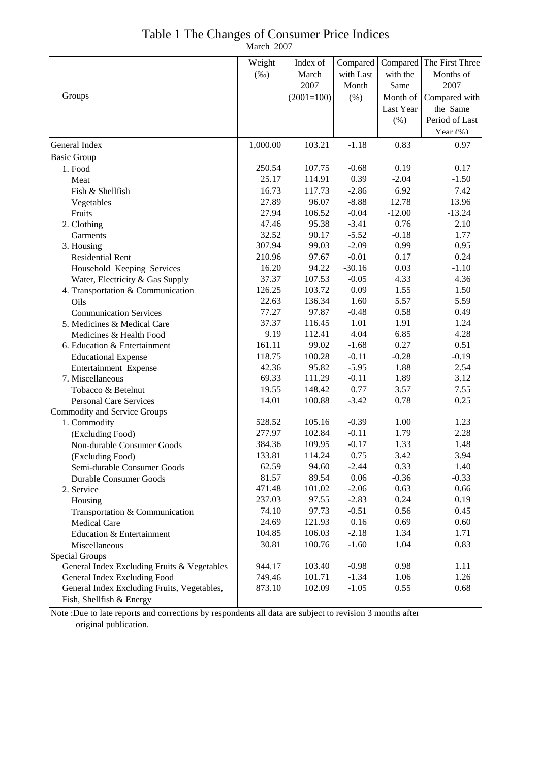|  |  |  |  | Table 1 The Changes of Consumer Price Indices |  |  |
|--|--|--|--|-----------------------------------------------|--|--|
|  |  |  |  |                                               |  |  |

March 2007

|                                             | Weight   | Index of     | Compared  | Compared  | The First Three |
|---------------------------------------------|----------|--------------|-----------|-----------|-----------------|
|                                             | $(\%0)$  | March        | with Last | with the  | Months of       |
|                                             |          | 2007         | Month     | Same      | 2007            |
| Groups                                      |          | $(2001=100)$ | $(\% )$   | Month of  | Compared with   |
|                                             |          |              |           | Last Year | the Same        |
|                                             |          |              |           | (%)       | Period of Last  |
|                                             |          |              |           |           | Year $(\% )$    |
| General Index                               | 1,000.00 | 103.21       | $-1.18$   | 0.83      | 0.97            |
| <b>Basic Group</b>                          |          |              |           |           |                 |
| 1. Food                                     | 250.54   | 107.75       | $-0.68$   | 0.19      | 0.17            |
| Meat                                        | 25.17    | 114.91       | 0.39      | $-2.04$   | $-1.50$         |
| Fish & Shellfish                            | 16.73    | 117.73       | $-2.86$   | 6.92      | 7.42            |
| Vegetables                                  | 27.89    | 96.07        | $-8.88$   | 12.78     | 13.96           |
| Fruits                                      | 27.94    | 106.52       | $-0.04$   | $-12.00$  | $-13.24$        |
| 2. Clothing                                 | 47.46    | 95.38        | $-3.41$   | 0.76      | 2.10            |
| Garments                                    | 32.52    | 90.17        | $-5.52$   | $-0.18$   | 1.77            |
| 3. Housing                                  | 307.94   | 99.03        | $-2.09$   | 0.99      | 0.95            |
| <b>Residential Rent</b>                     | 210.96   | 97.67        | $-0.01$   | 0.17      | 0.24            |
| Household Keeping Services                  | 16.20    | 94.22        | $-30.16$  | 0.03      | $-1.10$         |
| Water, Electricity & Gas Supply             | 37.37    | 107.53       | $-0.05$   | 4.33      | 4.36            |
| 4. Transportation & Communication           | 126.25   | 103.72       | 0.09      | 1.55      | 1.50            |
| Oils                                        | 22.63    | 136.34       | 1.60      | 5.57      | 5.59            |
| <b>Communication Services</b>               | 77.27    | 97.87        | $-0.48$   | 0.58      | 0.49            |
| 5. Medicines & Medical Care                 | 37.37    | 116.45       | 1.01      | 1.91      | 1.24            |
| Medicines & Health Food                     | 9.19     | 112.41       | 4.04      | 6.85      | 4.28            |
| 6. Education & Entertainment                | 161.11   | 99.02        | $-1.68$   | 0.27      | 0.51            |
| <b>Educational Expense</b>                  | 118.75   | 100.28       | $-0.11$   | $-0.28$   | $-0.19$         |
| Entertainment Expense                       | 42.36    | 95.82        | $-5.95$   | 1.88      | 2.54            |
| 7. Miscellaneous                            | 69.33    | 111.29       | $-0.11$   | 1.89      | 3.12            |
| Tobacco & Betelnut                          | 19.55    | 148.42       | 0.77      | 3.57      | 7.55            |
| <b>Personal Care Services</b>               | 14.01    | 100.88       | $-3.42$   | 0.78      | 0.25            |
| <b>Commodity and Service Groups</b>         |          |              |           |           |                 |
| 1. Commodity                                | 528.52   | 105.16       | $-0.39$   | 1.00      | 1.23            |
| (Excluding Food)                            | 277.97   | 102.84       | $-0.11$   | 1.79      | 2.28            |
| Non-durable Consumer Goods                  | 384.36   | 109.95       | $-0.17$   | 1.33      | 1.48            |
| (Excluding Food)                            | 133.81   | 114.24       | 0.75      | 3.42      | 3.94            |
| Semi-durable Consumer Goods                 | 62.59    | 94.60        | $-2.44$   | 0.33      | 1.40            |
| Durable Consumer Goods                      | 81.57    | 89.54        | 0.06      | $-0.36$   | $-0.33$         |
| 2. Service                                  | 471.48   | 101.02       | $-2.06$   | 0.63      | 0.66            |
| Housing                                     | 237.03   | 97.55        | $-2.83$   | 0.24      | 0.19            |
| Transportation & Communication              | 74.10    | 97.73        | $-0.51$   | 0.56      | 0.45            |
| <b>Medical Care</b>                         | 24.69    | 121.93       | 0.16      | 0.69      | 0.60            |
| Education & Entertainment                   | 104.85   | 106.03       | $-2.18$   | 1.34      | 1.71            |
| Miscellaneous                               | 30.81    | 100.76       | $-1.60$   | 1.04      | 0.83            |
| Special Groups                              |          |              |           |           |                 |
| General Index Excluding Fruits & Vegetables | 944.17   | 103.40       | $-0.98$   | 0.98      | 1.11            |
| General Index Excluding Food                | 749.46   | 101.71       | $-1.34$   | 1.06      | 1.26            |
| General Index Excluding Fruits, Vegetables, | 873.10   | 102.09       | $-1.05$   | 0.55      | 0.68            |
| Fish, Shellfish & Energy                    |          |              |           |           |                 |

Note :Due to late reports and corrections by respondents all data are subject to revision 3 months after original publication.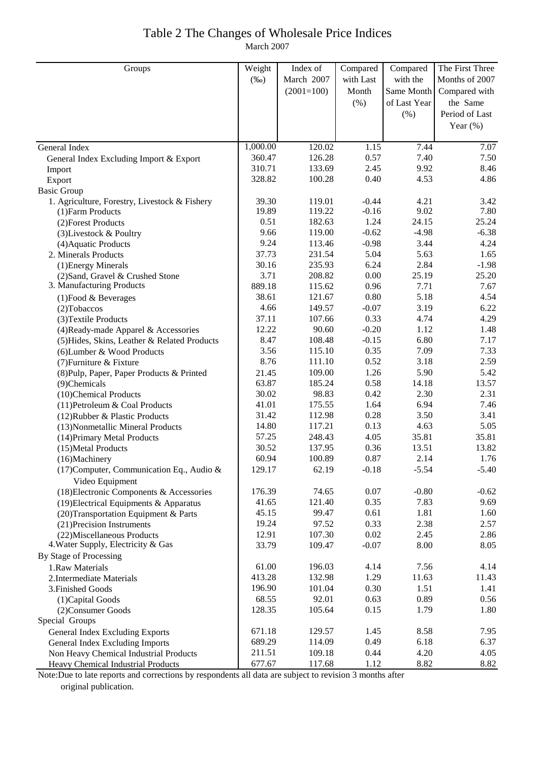# Table 2 The Changes of Wholesale Price Indices

March 2007

| Groups                                                            | Weight         | Index of         | Compared        | Compared     | The First Three |
|-------------------------------------------------------------------|----------------|------------------|-----------------|--------------|-----------------|
|                                                                   | $(\%0)$        | March 2007       | with Last       | with the     | Months of 2007  |
|                                                                   |                | $(2001=100)$     | Month           | Same Month   | Compared with   |
|                                                                   |                |                  | (% )            | of Last Year | the Same        |
|                                                                   |                |                  |                 | (% )         | Period of Last  |
|                                                                   |                |                  |                 |              | Year $(\%)$     |
|                                                                   |                |                  |                 |              |                 |
| General Index                                                     | 1,000.00       | 120.02           | 1.15            | 7.44         | 7.07            |
| General Index Excluding Import & Export                           | 360.47         | 126.28           | 0.57            | 7.40         | 7.50            |
| Import                                                            | 310.71         | 133.69           | 2.45            | 9.92         | 8.46            |
| Export                                                            | 328.82         | 100.28           | 0.40            | 4.53         | 4.86            |
| <b>Basic Group</b>                                                |                |                  |                 |              |                 |
| 1. Agriculture, Forestry, Livestock & Fishery                     | 39.30          | 119.01           | $-0.44$         | 4.21         | 3.42            |
| (1) Farm Products                                                 | 19.89          | 119.22           | $-0.16$         | 9.02         | 7.80            |
| (2) Forest Products                                               | 0.51           | 182.63           | 1.24            | 24.15        | 25.24           |
| (3) Livestock & Poultry                                           | 9.66           | 119.00           | $-0.62$         | $-4.98$      | $-6.38$         |
| (4) Aquatic Products                                              | 9.24           | 113.46           | $-0.98$         | 3.44         | 4.24            |
| 2. Minerals Products                                              | 37.73          | 231.54           | 5.04            | 5.63         | 1.65            |
| (1) Energy Minerals                                               | 30.16          | 235.93           | 6.24            | 2.84         | $-1.98$         |
| (2) Sand, Gravel & Crushed Stone                                  | 3.71           | 208.82           | 0.00            | 25.19        | 25.20           |
| 3. Manufacturing Products                                         | 889.18         | 115.62           | 0.96            | 7.71         | 7.67            |
| $(1)$ Food & Beverages                                            | 38.61          | 121.67           | 0.80            | 5.18         | 4.54            |
| $(2)$ Tobaccos                                                    | 4.66           | 149.57           | $-0.07$         | 3.19         | 6.22            |
| (3) Textile Products                                              | 37.11          | 107.66           | 0.33            | 4.74         | 4.29            |
| (4) Ready-made Apparel & Accessories                              | 12.22          | 90.60            | $-0.20$         | 1.12         | 1.48            |
| (5) Hides, Skins, Leather & Related Products                      | 8.47           | 108.48           | $-0.15$         | 6.80         | 7.17            |
| (6) Lumber & Wood Products                                        | 3.56           | 115.10           | 0.35            | 7.09         | 7.33            |
| (7) Furniture & Fixture                                           | 8.76           | 111.10           | 0.52            | 3.18         | 2.59            |
| (8) Pulp, Paper, Paper Products & Printed                         | 21.45          | 109.00           | 1.26            | 5.90         | 5.42            |
| (9)Chemicals                                                      | 63.87          | 185.24           | 0.58            | 14.18        | 13.57           |
| (10)Chemical Products                                             | 30.02          | 98.83            | 0.42            | 2.30         | 2.31            |
| (11) Petroleum & Coal Products                                    | 41.01          | 175.55           | 1.64            | 6.94         | 7.46            |
| (12) Rubber & Plastic Products                                    | 31.42          | 112.98           | 0.28            | 3.50         | 3.41            |
| (13) Nonmetallic Mineral Products                                 | 14.80          | 117.21           | 0.13            | 4.63         | 5.05            |
| (14) Primary Metal Products                                       | 57.25          | 248.43           | 4.05            | 35.81        | 35.81           |
| (15) Metal Products                                               | 30.52          | 137.95           | 0.36            | 13.51        | 13.82           |
| (16)Machinery                                                     | 60.94          | 100.89           | 0.87            | 2.14         | 1.76            |
| (17) Computer, Communication Eq., Audio &                         | 129.17         | 62.19            | $-0.18$         | $-5.54$      | $-5.40$         |
| Video Equipment                                                   |                |                  |                 |              |                 |
| (18) Electronic Components & Accessories                          | 176.39         | 74.65            | 0.07            | $-0.80$      | $-0.62$         |
| (19) Electrical Equipments & Apparatus                            | 41.65          | 121.40           | 0.35            | 7.83         | 9.69            |
| (20) Transportation Equipment & Parts                             | 45.15          | 99.47            | 0.61            | 1.81         | 1.60            |
| (21) Precision Instruments                                        | 19.24<br>12.91 | 97.52            | 0.33            | 2.38         | 2.57            |
| (22) Miscellaneous Products<br>4. Water Supply, Electricity & Gas | 33.79          | 107.30<br>109.47 | 0.02<br>$-0.07$ | 2.45<br>8.00 | 2.86<br>8.05    |
| By Stage of Processing                                            |                |                  |                 |              |                 |
| 1.Raw Materials                                                   | 61.00          | 196.03           | 4.14            | 7.56         | 4.14            |
| 2. Intermediate Materials                                         | 413.28         | 132.98           | 1.29            | 11.63        | 11.43           |
| 3. Finished Goods                                                 | 196.90         | 101.04           | 0.30            | 1.51         | 1.41            |
| (1) Capital Goods                                                 | 68.55          | 92.01            | 0.63            | 0.89         | 0.56            |
| (2) Consumer Goods                                                | 128.35         | 105.64           | 0.15            | 1.79         | 1.80            |
| Special Groups                                                    |                |                  |                 |              |                 |
| General Index Excluding Exports                                   | 671.18         | 129.57           | 1.45            | 8.58         | 7.95            |
| General Index Excluding Imports                                   | 689.29         | 114.09           | 0.49            | 6.18         | 6.37            |
| Non Heavy Chemical Industrial Products                            | 211.51         | 109.18           | 0.44            | 4.20         | 4.05            |
| Heavy Chemical Industrial Products                                | 677.67         | 117.68           | 1.12            | 8.82         | 8.82            |

Note:Due to late reports and corrections by respondents all data are subject to revision 3 months after original publication.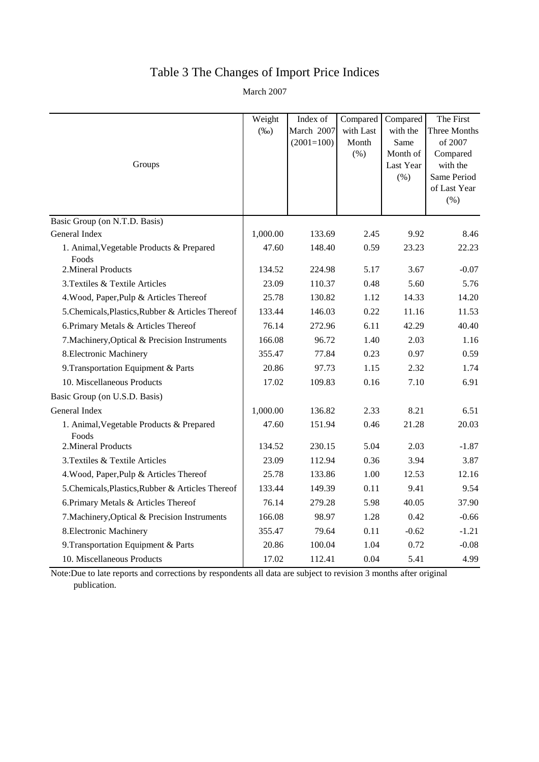### Table 3 The Changes of Import Price Indices

March 2007

|                                                   | Weight   | Index of     | Compared  | Compared             | The First            |
|---------------------------------------------------|----------|--------------|-----------|----------------------|----------------------|
|                                                   | $(\%0)$  | March 2007   | with Last | with the             | Three Months         |
|                                                   |          | $(2001=100)$ | Month     | Same                 | of 2007              |
| Groups                                            |          |              | (% )      | Month of             | Compared<br>with the |
|                                                   |          |              |           | Last Year<br>$(\% )$ | Same Period          |
|                                                   |          |              |           |                      | of Last Year         |
|                                                   |          |              |           |                      | $(\% )$              |
| Basic Group (on N.T.D. Basis)                     |          |              |           |                      |                      |
| General Index                                     | 1,000.00 | 133.69       | 2.45      | 9.92                 | 8.46                 |
| 1. Animal, Vegetable Products & Prepared<br>Foods | 47.60    | 148.40       | 0.59      | 23.23                | 22.23                |
| 2. Mineral Products                               | 134.52   | 224.98       | 5.17      | 3.67                 | $-0.07$              |
| 3. Textiles & Textile Articles                    | 23.09    | 110.37       | 0.48      | 5.60                 | 5.76                 |
| 4. Wood, Paper, Pulp & Articles Thereof           | 25.78    | 130.82       | 1.12      | 14.33                | 14.20                |
| 5. Chemicals, Plastics, Rubber & Articles Thereof | 133.44   | 146.03       | 0.22      | 11.16                | 11.53                |
| 6. Primary Metals & Articles Thereof              | 76.14    | 272.96       | 6.11      | 42.29                | 40.40                |
| 7. Machinery, Optical & Precision Instruments     | 166.08   | 96.72        | 1.40      | 2.03                 | 1.16                 |
| 8. Electronic Machinery                           | 355.47   | 77.84        | 0.23      | 0.97                 | 0.59                 |
| 9. Transportation Equipment & Parts               | 20.86    | 97.73        | 1.15      | 2.32                 | 1.74                 |
| 10. Miscellaneous Products                        | 17.02    | 109.83       | 0.16      | 7.10                 | 6.91                 |
| Basic Group (on U.S.D. Basis)                     |          |              |           |                      |                      |
| General Index                                     | 1,000.00 | 136.82       | 2.33      | 8.21                 | 6.51                 |
| 1. Animal, Vegetable Products & Prepared<br>Foods | 47.60    | 151.94       | 0.46      | 21.28                | 20.03                |
| 2. Mineral Products                               | 134.52   | 230.15       | 5.04      | 2.03                 | $-1.87$              |
| 3. Textiles & Textile Articles                    | 23.09    | 112.94       | 0.36      | 3.94                 | 3.87                 |
| 4. Wood, Paper, Pulp & Articles Thereof           | 25.78    | 133.86       | 1.00      | 12.53                | 12.16                |
| 5. Chemicals, Plastics, Rubber & Articles Thereof | 133.44   | 149.39       | 0.11      | 9.41                 | 9.54                 |
| 6. Primary Metals & Articles Thereof              | 76.14    | 279.28       | 5.98      | 40.05                | 37.90                |
| 7. Machinery, Optical & Precision Instruments     | 166.08   | 98.97        | 1.28      | 0.42                 | $-0.66$              |
| 8. Electronic Machinery                           | 355.47   | 79.64        | 0.11      | $-0.62$              | $-1.21$              |
| 9. Transportation Equipment & Parts               | 20.86    | 100.04       | 1.04      | 0.72                 | $-0.08$              |
| 10. Miscellaneous Products                        | 17.02    | 112.41       | 0.04      | 5.41                 | 4.99                 |

Note:Due to late reports and corrections by respondents all data are subject to revision 3 months after original publication.